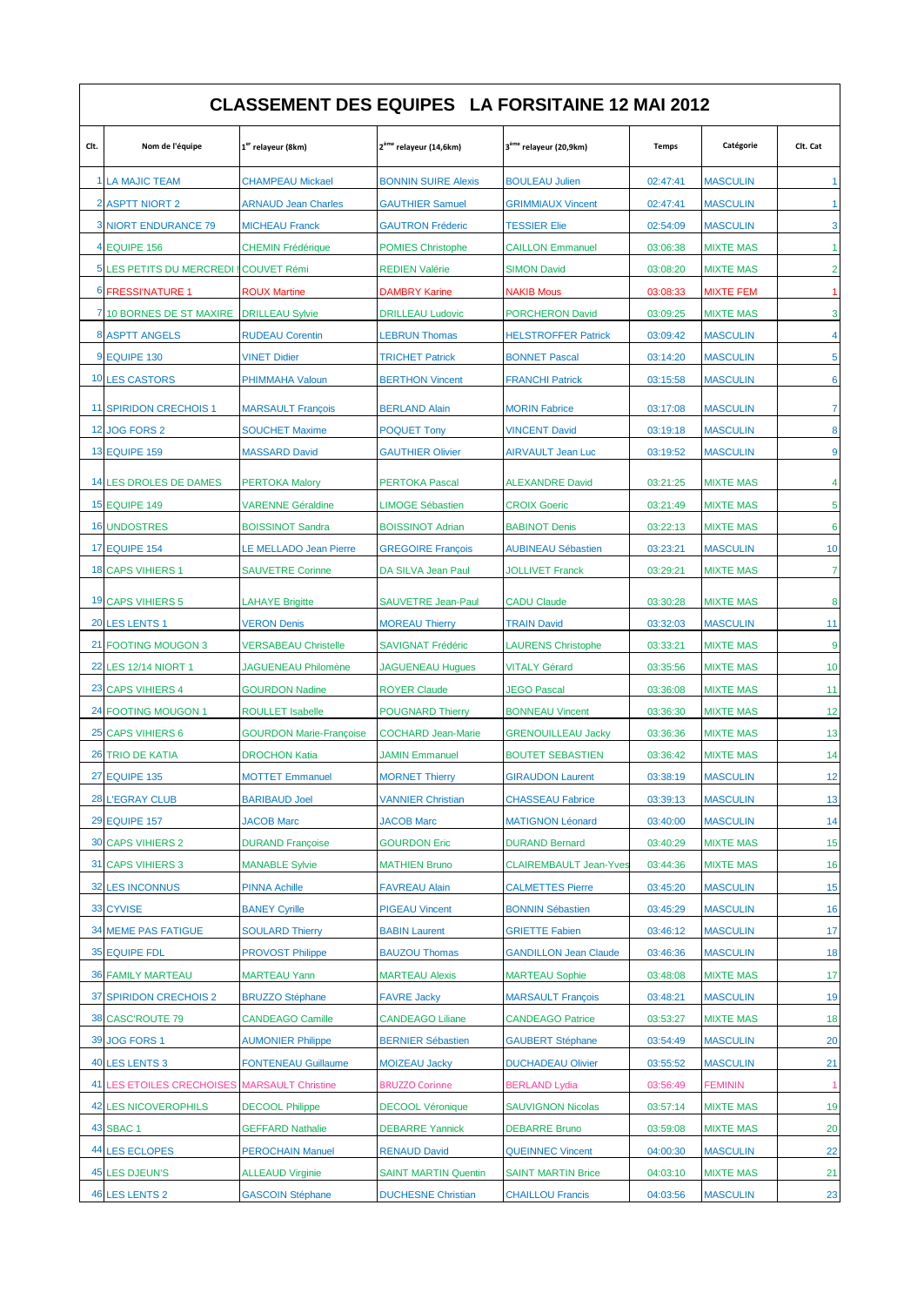| <b>CLASSEMENT DES EQUIPES LA FORSITAINE 12 MAI 2012</b> |                                                |                                                          |                                                  |                                               |                      |                                      |                      |  |  |  |  |
|---------------------------------------------------------|------------------------------------------------|----------------------------------------------------------|--------------------------------------------------|-----------------------------------------------|----------------------|--------------------------------------|----------------------|--|--|--|--|
| Clt.                                                    | Nom de l'équipe                                | 1 <sup>er</sup> relayeur (8km)                           | 2 <sup>ème</sup> relayeur (14,6km)               | 3 <sup>ème</sup> relayeur (20,9km)            | <b>Temps</b>         | Catégorie                            | Clt. Cat             |  |  |  |  |
|                                                         | 1 LA MAJIC TEAM                                | <b>CHAMPEAU Mickael</b>                                  | <b>BONNIN SUIRE Alexis</b>                       | <b>BOULEAU Julien</b>                         | 02:47:41             | <b>MASCULIN</b>                      | $\blacktriangleleft$ |  |  |  |  |
|                                                         | <b>2 ASPTT NIORT 2</b>                         | <b>ARNAUD Jean Charles</b>                               | <b>GAUTHIER Samuel</b>                           | <b>GRIMMIAUX Vincent</b>                      | 02:47:41             | <b>MASCULIN</b>                      | $\overline{1}$       |  |  |  |  |
|                                                         | <b>3 NIORT ENDURANCE 79</b>                    | <b>MICHEAU Franck</b>                                    | <b>GAUTRON Fréderic</b>                          | <b>TESSIER Elie</b>                           | 02:54:09             | <b>MASCULIN</b>                      | 3                    |  |  |  |  |
|                                                         | 4 EQUIPE 156                                   | <b>CHEMIN Frédérique</b>                                 | <b>POMIES Christophe</b>                         | <b>CAILLON Emmanuel</b>                       | 03:06:38             | <b>MIXTE MAS</b>                     | $\mathbf{1}$         |  |  |  |  |
|                                                         | 5 LES PETITS DU MERCREDI                       | <b>COUVET Rémi</b>                                       | <b>REDIEN Valérie</b>                            | <b>SIMON David</b>                            | 03:08:20             | <b>MIXTE MAS</b>                     | $\overline{2}$       |  |  |  |  |
|                                                         | <b>6 FRESSI'NATURE 1</b>                       | <b>ROUX Martine</b>                                      | <b>DAMBRY Karine</b>                             | <b>NAKIB Mous</b>                             | 03:08:33             | <b>MIXTE FEM</b>                     | $\blacktriangleleft$ |  |  |  |  |
|                                                         | 7 10 BORNES DE ST MAXIRE                       | <b>DRILLEAU Sylvie</b>                                   | <b>DRILLEAU Ludovic</b>                          | <b>PORCHERON David</b>                        | 03:09:25             | <b>MIXTE MAS</b>                     | 3                    |  |  |  |  |
|                                                         | 8 ASPTT ANGELS                                 | <b>RUDEAU Corentin</b>                                   | <b>LEBRUN Thomas</b>                             | <b>HELSTROFFER Patrick</b>                    | 03:09:42             | <b>MASCULIN</b>                      | $\overline{4}$       |  |  |  |  |
|                                                         | 9 EQUIPE 130                                   | <b>VINET Didier</b>                                      | <b>TRICHET Patrick</b>                           | <b>BONNET Pascal</b>                          | 03:14:20             | <b>MASCULIN</b>                      | 5                    |  |  |  |  |
|                                                         | 10 LES CASTORS                                 | PHIMMAHA Valoun                                          | <b>BERTHON Vincent</b>                           | <b>FRANCHI Patrick</b>                        | 03:15:58             | <b>MASCULIN</b>                      | 6                    |  |  |  |  |
|                                                         | 11 SPIRIDON CRECHOIS 1                         | <b>MARSAULT François</b>                                 | <b>BERLAND Alain</b>                             | <b>MORIN Fabrice</b>                          | 03:17:08             | <b>MASCULIN</b>                      | $\overline{7}$       |  |  |  |  |
|                                                         | <b>12 JOG FORS 2</b>                           | <b>SOUCHET Maxime</b>                                    | <b>POQUET Tony</b>                               | <b>VINCENT David</b>                          | 03:19:18             | <b>MASCULIN</b>                      | 8                    |  |  |  |  |
|                                                         | <b>13 EQUIPE 159</b>                           | <b>MASSARD David</b>                                     | <b>GAUTHIER Olivier</b>                          | AIRVAULT Jean Luc                             | 03:19:52             | <b>MASCULIN</b>                      | 9                    |  |  |  |  |
|                                                         |                                                |                                                          |                                                  |                                               |                      |                                      | 4                    |  |  |  |  |
|                                                         | 14 LES DROLES DE DAMES<br><b>15 EQUIPE 149</b> | <b>PERTOKA Malory</b><br><b>VARENNE Géraldine</b>        | <b>PERTOKA Pascal</b><br><b>LIMOGE Sébastien</b> | <b>ALEXANDRE David</b><br><b>CROIX Goeric</b> | 03:21:25<br>03:21:49 | <b>MIXTE MAS</b><br><b>MIXTE MAS</b> | 5                    |  |  |  |  |
|                                                         | <b>16 UNDOSTRES</b>                            |                                                          | <b>BOISSINOT Adrian</b>                          | <b>BABINOT Denis</b>                          |                      |                                      | $6\phantom{1}6$      |  |  |  |  |
|                                                         | <b>17 EQUIPE 154</b>                           | <b>BOISSINOT Sandra</b><br><b>LE MELLADO Jean Pierre</b> | <b>GREGOIRE François</b>                         | <b>AUBINEAU Sébastien</b>                     | 03:22:13<br>03:23:21 | <b>MIXTE MAS</b><br><b>MASCULIN</b>  | 10                   |  |  |  |  |
|                                                         | 18 CAPS VIHIERS 1                              | <b>SAUVETRE Corinne</b>                                  | DA SILVA Jean Paul                               | <b>JOLLIVET Franck</b>                        | 03:29:21             | <b>MIXTE MAS</b>                     | $\overline{7}$       |  |  |  |  |
|                                                         |                                                |                                                          |                                                  |                                               |                      |                                      |                      |  |  |  |  |
|                                                         | <b>19 CAPS VIHIERS 5</b>                       | LAHAYE Brigitte                                          | <b>SAUVETRE Jean-Paul</b>                        | <b>CADU Claude</b>                            | 03:30:28             | <b>MIXTE MAS</b>                     | 8                    |  |  |  |  |
|                                                         | 20 LES LENTS 1                                 | <b>VERON Denis</b>                                       | <b>MOREAU Thierry</b>                            | <b>TRAIN David</b>                            | 03:32:03             | <b>MASCULIN</b>                      | 11                   |  |  |  |  |
| 21                                                      | <b>FOOTING MOUGON 3</b>                        | <b>VERSABEAU Christelle</b>                              | <b>SAVIGNAT Frédéric</b>                         | <b>LAURENS Christophe</b>                     | 03:33:21             | <b>MIXTE MAS</b>                     | 9                    |  |  |  |  |
|                                                         | 22 LES 12/14 NIORT 1                           | <b>JAGUENEAU Philomène</b>                               | <b>JAGUENEAU Hugues</b>                          | <b>VITALY Gérard</b>                          | 03:35:56             | <b>MIXTE MAS</b>                     | 10                   |  |  |  |  |
|                                                         | 23 CAPS VIHIERS 4                              | <b>GOURDON Nadine</b>                                    | <b>ROYER Claude</b>                              | <b>JEGO Pascal</b>                            | 03:36:08             | <b>MIXTE MAS</b>                     | 11                   |  |  |  |  |
|                                                         | 24 FOOTING MOUGON 1                            | <b>ROULLET Isabelle</b>                                  | <b>POUGNARD Thierry</b>                          | <b>BONNEAU Vincent</b>                        | 03:36:30             | <b>MIXTE MAS</b>                     | 12                   |  |  |  |  |
|                                                         | 25 CAPS VIHIERS 6                              | <b>GOURDON Marie-Françoise</b>                           | <b>COCHARD Jean-Marie</b>                        | <b>GRENOUILLEAU Jacky</b>                     | 03:36:36             | <b>MIXTE MAS</b>                     | 13                   |  |  |  |  |
| 26                                                      | <b>TRIO DE KATIA</b>                           | <b>DROCHON Katia</b>                                     | <b>JAMIN Emmanuel</b>                            | <b>BOUTET SEBASTIEN</b>                       | 03:36:42             | <b>MIXTE MAS</b>                     | 14                   |  |  |  |  |
|                                                         | <b>27 EQUIPE 135</b>                           | <b>MOTTET Emmanuel</b>                                   | <b>MORNET Thierry</b>                            | <b>GIRAUDON Laurent</b>                       | 03:38:19             | <b>MASCULIN</b>                      | 12                   |  |  |  |  |
|                                                         | <b>28 L'EGRAY CLUB</b>                         | <b>BARIBAUD Joel</b>                                     | <b>VANNIER Christian</b>                         | <b>CHASSEAU Fabrice</b>                       | 03:39:13             | <b>MASCULIN</b>                      | 13                   |  |  |  |  |
|                                                         | <b>29 EQUIPE 157</b>                           | <b>JACOB Marc</b>                                        | <b>JACOB Marc</b>                                | <b>MATIGNON Léonard</b>                       | 03:40:00             | <b>MASCULIN</b>                      | 14                   |  |  |  |  |
|                                                         | <b>30 CAPS VIHIERS 2</b>                       | <b>DURAND Françoise</b>                                  | <b>GOURDON Eric</b>                              | <b>DURAND Bernard</b>                         | 03:40:29             | <b>MIXTE MAS</b>                     | 15                   |  |  |  |  |
|                                                         | 31 CAPS VIHIERS 3                              | <b>MANABLE Sylvie</b>                                    | <b>MATHIEN Bruno</b>                             | <b>CLAIREMBAULT Jean-Yves</b>                 | 03:44:36             | <b>MIXTE MAS</b>                     | 16                   |  |  |  |  |
| 32                                                      | <b>LES INCONNUS</b>                            | <b>PINNA Achille</b>                                     | <b>FAVREAU Alain</b>                             | <b>CALMETTES Pierre</b>                       | 03:45:20             | <b>MASCULIN</b>                      | 15                   |  |  |  |  |
|                                                         | 33 CYVISE                                      | <b>BANEY Cyrille</b>                                     | <b>PIGEAU Vincent</b>                            | <b>BONNIN Sébastien</b>                       | 03:45:29             | <b>MASCULIN</b>                      | 16                   |  |  |  |  |
|                                                         | <b>34 MEME PAS FATIGUE</b>                     | <b>SOULARD Thierry</b>                                   | <b>BABIN Laurent</b>                             | <b>GRIETTE Fabien</b>                         | 03:46:12             | <b>MASCULIN</b>                      | 17                   |  |  |  |  |
|                                                         | <b>35 EQUIPE FDL</b>                           | <b>PROVOST Philippe</b>                                  | <b>BAUZOU Thomas</b>                             | <b>GANDILLON Jean Claude</b>                  | 03:46:36             | <b>MASCULIN</b>                      | 18                   |  |  |  |  |
|                                                         | <b>36 FAMILY MARTEAU</b>                       | <b>MARTEAU Yann</b>                                      | <b>MARTEAU Alexis</b>                            | <b>MARTEAU Sophie</b>                         | 03:48:08             | <b>MIXTE MAS</b>                     | 17                   |  |  |  |  |
|                                                         | 37 SPIRIDON CRECHOIS 2                         | <b>BRUZZO Stéphane</b>                                   | <b>FAVRE Jacky</b>                               | <b>MARSAULT François</b>                      | 03:48:21             | <b>MASCULIN</b>                      | 19                   |  |  |  |  |
|                                                         | 38 CASC'ROUTE 79                               | <b>CANDEAGO Camille</b>                                  | <b>CANDEAGO Liliane</b>                          | <b>CANDEAGO Patrice</b>                       | 03:53:27             | <b>MIXTE MAS</b>                     | 18                   |  |  |  |  |
|                                                         | 39 JOG FORS 1                                  | <b>AUMONIER Philippe</b>                                 | <b>BERNIER Sébastien</b>                         | <b>GAUBERT Stéphane</b>                       | 03:54:49             | <b>MASCULIN</b>                      | 20                   |  |  |  |  |
|                                                         | 40 LES LENTS 3                                 | <b>FONTENEAU Guillaume</b>                               | <b>MOIZEAU Jacky</b>                             | <b>DUCHADEAU Olivier</b>                      | 03:55:52             | <b>MASCULIN</b>                      | 21                   |  |  |  |  |
|                                                         | 41 LES ETOILES CRECHOISES MARSAULT Christine   |                                                          | <b>BRUZZO Corinne</b>                            | <b>BERLAND Lydia</b>                          | 03:56:49             | <b>FEMININ</b>                       | $\mathbf{1}$         |  |  |  |  |
|                                                         | <b>42 LES NICOVEROPHILS</b>                    | <b>DECOOL Philippe</b>                                   | <b>DECOOL Véronique</b>                          | <b>SAUVIGNON Nicolas</b>                      | 03:57:14             | <b>MIXTE MAS</b>                     | 19                   |  |  |  |  |
|                                                         | <b>43 SBAC 1</b>                               | <b>GEFFARD Nathalie</b>                                  | <b>DEBARRE Yannick</b>                           | <b>DEBARRE Bruno</b>                          | 03:59:08             | <b>MIXTE MAS</b>                     | 20                   |  |  |  |  |
|                                                         | 44 LES ECLOPES                                 | <b>PEROCHAIN Manuel</b>                                  | <b>RENAUD David</b>                              | <b>QUEINNEC Vincent</b>                       | 04:00:30             | <b>MASCULIN</b>                      | 22                   |  |  |  |  |
|                                                         | <b>45 LES DJEUN'S</b>                          | <b>ALLEAUD Virginie</b>                                  | <b>SAINT MARTIN Quentin</b>                      | <b>SAINT MARTIN Brice</b>                     | 04:03:10             | <b>MIXTE MAS</b>                     | 21                   |  |  |  |  |
|                                                         | <b>46 LES LENTS 2</b>                          | <b>GASCOIN Stéphane</b>                                  | <b>DUCHESNE Christian</b>                        | <b>CHAILLOU Francis</b>                       | 04:03:56             | <b>MASCULIN</b>                      | 23                   |  |  |  |  |